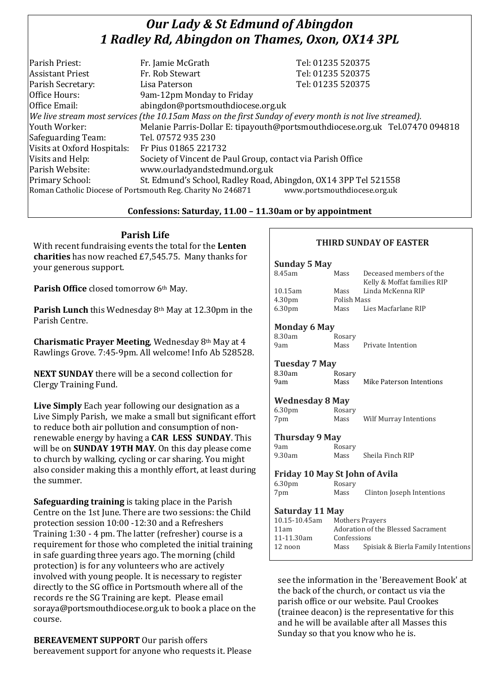# *Our Lady & St Edmund of Abingdon 1 Radley Rd, Abingdon on Thames, Oxon, OX14 3PL*

| Parish Priest:              | Fr. Jamie McGrath                                                                                            | Tel: 01235 520375                                                            |  |
|-----------------------------|--------------------------------------------------------------------------------------------------------------|------------------------------------------------------------------------------|--|
| <b>Assistant Priest</b>     | Fr. Rob Stewart                                                                                              | Tel: 01235 520375                                                            |  |
| Parish Secretary:           | Lisa Paterson                                                                                                | Tel: 01235 520375                                                            |  |
| Office Hours:               | 9am-12pm Monday to Friday                                                                                    |                                                                              |  |
| Office Email:               | abingdon@portsmouthdiocese.org.uk                                                                            |                                                                              |  |
|                             | $ $ We live stream most services (the 10.15am Mass on the first Sunday of every month is not live streamed). |                                                                              |  |
| Youth Worker:               |                                                                                                              | Melanie Parris-Dollar E: tipayouth@portsmouthdiocese.org.uk Tel.07470 094818 |  |
| Safeguarding Team:          | Tel. 07572 935 230                                                                                           |                                                                              |  |
| Visits at Oxford Hospitals: | Fr Pius 01865 221732                                                                                         |                                                                              |  |
| Visits and Help:            | Society of Vincent de Paul Group, contact via Parish Office                                                  |                                                                              |  |
| Parish Website:             | www.ourladyandstedmund.org.uk                                                                                |                                                                              |  |
| Primary School:             | St. Edmund's School, Radley Road, Abingdon, OX14 3PP Tel 521558                                              |                                                                              |  |
|                             | Roman Catholic Diocese of Portsmouth Reg. Charity No 246871                                                  | www.portsmouthdiocese.org.uk                                                 |  |

## **Confessions: Saturday, 11.00 – 11.30am or by appointment**

**Parish Life**

With recent fundraising events the total for the **Lenten charities** has now reached £7,545.75. Many thanks for your generous support.

Parish Office closed tomorrow 6<sup>th</sup> May.

**Parish Lunch** this Wednesday 8<sup>th</sup> May at 12.30pm in the Parish Centre.

**Charismatic Prayer Meeting, Wednesday 8th May at 4** Rawlings Grove. 7:45-9pm. All welcome! Info Ab 528528.

**NEXT SUNDAY** there will be a second collection for Clergy Training Fund.

**Live Simply** Each year following our designation as a Live Simply Parish, we make a small but significant effort to reduce both air pollution and consumption of nonrenewable energy by having a **CAR LESS SUNDAY**. This will be on **SUNDAY 19TH MAY**. On this day please come to church by walking, cycling or car sharing. You might also consider making this a monthly effort, at least during the summer.

**Safeguarding training** is taking place in the Parish Centre on the 1st June. There are two sessions: the Child protection session 10:00 -12:30 and a Refreshers Training 1:30 - 4 pm. The latter (refresher) course is a requirement for those who completed the initial training in safe guarding three years ago. The morning (child protection) is for any volunteers who are actively involved with young people. It is necessary to register directly to the SG office in Portsmouth where all of the records re the SG Training are kept. Please email soraya@portsmouthdiocese.org.uk to book a place on the course.

**BEREAVEMENT SUPPORT** Our parish offers bereavement support for anyone who requests it. Please

## **THIRD SUNDAY OF EASTER**

Private Intention

Sheila Finch RIP

| <b>Sunday 5 May</b> |             |                             |
|---------------------|-------------|-----------------------------|
| 8.45am              | Mass        | Deceased members of the     |
|                     |             | Kelly & Moffat families RIP |
| 10.15am             | Mass        | Linda McKenna RIP           |
| 4.30 <sub>pm</sub>  | Polish Mass |                             |
| 6.30pm              | Mass        | Lies Macfarlane RIP         |
|                     |             |                             |

#### **Monday 6 May**

| 8.30am | Rosary |
|--------|--------|
| 9am    | Mass   |

| <b>Tuesday 7 May</b> |        |                          |
|----------------------|--------|--------------------------|
| 8.30am               | Rosary |                          |
| 9am                  | Mass   | Mike Paterson Intentions |

### **Wednesday 8 May**

| 6.30 <sub>pm</sub> | Rosary |                        |
|--------------------|--------|------------------------|
| 7pm                | Mass   | Wilf Murray Intentions |

#### **Thursday 9 May**

| 9am    | Rosary |
|--------|--------|
| 9.30am | Mass   |

# **Friday 10 May St John of Avila**

| 6.30 <sub>pm</sub> | Rosary |                           |
|--------------------|--------|---------------------------|
| 7pm                | Mass   | Clinton Joseph Intentions |

#### **Saturday 11 May**

| 10.15-10.45am | <b>Mothers Prayers</b>             |                                    |  |
|---------------|------------------------------------|------------------------------------|--|
| 11am          | Adoration of the Blessed Sacrament |                                    |  |
| 11-11.30am    | Confessions                        |                                    |  |
| 12 noon       | Mass                               | Spisiak & Bierla Family Intentions |  |
|               |                                    |                                    |  |

see the information in the 'Bereavement Book' at the back of the church, or contact us via the parish office or our website. Paul Crookes (trainee deacon) is the representative for this and he will be available after all Masses this Sunday so that you know who he is.